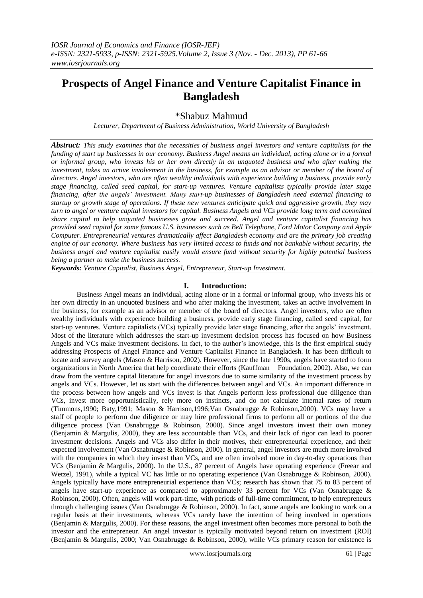# **Prospects of Angel Finance and Venture Capitalist Finance in Bangladesh**

\*Shabuz Mahmud

*Lecturer, Department of Business Administration, World University of Bangladesh*

*Abstract: This study examines that the necessities of business angel investors and venture capitalists for the funding of start up businesses in our economy. Business Angel means an individual, acting alone or in a formal or informal group, who invests his or her own directly in an unquoted business and who after making the investment, takes an active involvement in the business, for example as an advisor or member of the board of directors. Angel investors, who are often wealthy individuals with experience building a business, provide early stage financing, called seed capital, for start-up ventures. Venture capitalists typically provide later stage financing, after the angels' investment. Many start-up businesses of Bangladesh need external financing to startup or growth stage of operations. If these new ventures anticipate quick and aggressive growth, they may turn to angel or venture capital investors for capital. Business Angels and VCs provide long term and committed share capital to help unquoted businesses grow and succeed. Angel and venture capitalist financing has provided seed capital for some famous U.S. businesses such as Bell Telephone, Ford Motor Company and Apple Computer. Entrepreneurial ventures dramatically affect Bangladesh economy and are the primary job creating engine of our economy. Where business has very limited access to funds and not bankable without security, the business angel and venture capitalist easily would ensure fund without security for highly potential business being a partner to make the business success.*

*Keywords: Venture Capitalist, Business Angel, Entrepreneur, Start-up Investment.*

# **I. Introduction:**

Business Angel means an individual, acting alone or in a formal or informal group, who invests his or her own directly in an unquoted business and who after making the investment, takes an active involvement in the business, for example as an advisor or member of the board of directors. Angel investors, who are often wealthy individuals with experience building a business, provide early stage financing, called seed capital, for start-up ventures. Venture capitalists (VCs) typically provide later stage financing, after the angels" investment. Most of the literature which addresses the start-up investment decision process has focused on how Business Angels and VCs make investment decisions. In fact, to the author"s knowledge, this is the first empirical study addressing Prospects of Angel Finance and Venture Capitalist Finance in Bangladesh. It has been difficult to locate and survey angels (Mason & Harrison, 2002). However, since the late 1990s, angels have started to form organizations in North America that help coordinate their efforts (Kauffman Foundation, 2002). Also, we can draw from the venture capital literature for angel investors due to some similarity of the investment process by angels and VCs. However, let us start with the differences between angel and VCs. An important difference in the process between how angels and VCs invest is that Angels perform less professional due diligence than VCs, invest more opportunistically, rely more on instincts, and do not calculate internal rates of return (Timmons,1990; Baty,1991; Mason & Harrison,1996;Van Osnabrugge & Robinson,2000). VCs may have a staff of people to perform due diligence or may hire professional firms to perform all or portions of the due diligence process (Van Osnabrugge & Robinson, 2000). Since angel investors invest their own money (Benjamin & Margulis, 2000), they are less accountable than VCs, and their lack of rigor can lead to poorer investment decisions. Angels and VCs also differ in their motives, their entrepreneurial experience, and their expected involvement (Van Osnabrugge & Robinson, 2000). In general, angel investors are much more involved with the companies in which they invest than VCs, and are often involved more in day-to-day operations than VCs (Benjamin & Margulis, 2000). In the U.S., 87 percent of Angels have operating experience (Freear and Wetzel, 1991), while a typical VC has little or no operating experience (Van Osnabrugge & Robinson, 2000). Angels typically have more entrepreneurial experience than VCs; research has shown that 75 to 83 percent of angels have start-up experience as compared to approximately 33 percent for VCs (Van Osnabrugge & Robinson, 2000). Often, angels will work part-time, with periods of full-time commitment, to help entrepreneurs through challenging issues (Van Osnabrugge & Robinson, 2000). In fact, some angels are looking to work on a regular basis at their investments, whereas VCs rarely have the intention of being involved in operations (Benjamin & Margulis, 2000). For these reasons, the angel investment often becomes more personal to both the investor and the entrepreneur. An angel investor is typically motivated beyond return on investment (ROI) (Benjamin & Margulis, 2000; Van Osnabrugge & Robinson, 2000), while VCs primary reason for existence is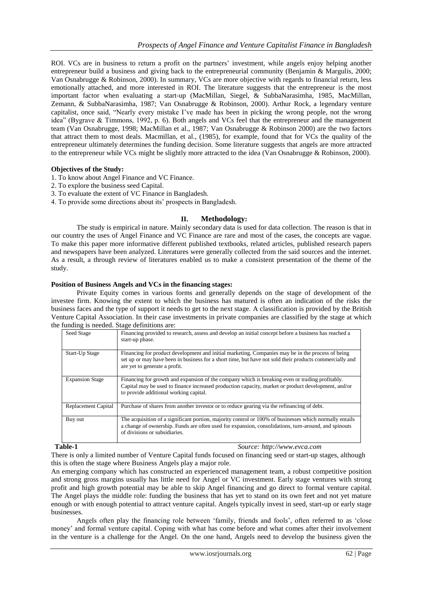ROI. VCs are in business to return a profit on the partners' investment, while angels enjoy helping another entrepreneur build a business and giving back to the entrepreneurial community (Benjamin & Margulis, 2000; Van Osnabrugge & Robinson, 2000). In summary, VCs are more objective with regards to financial return, less emotionally attached, and more interested in ROI. The literature suggests that the entrepreneur is the most important factor when evaluating a start-up (MacMillan, Siegel, & SubbaNarasimha, 1985, MacMillan, Zemann, & SubbaNarasimha, 1987; Van Osnabrugge & Robinson, 2000). Arthur Rock, a legendary venture capitalist, once said, "Nearly every mistake I've made has been in picking the wrong people, not the wrong idea" (Bygrave & Timmons, 1992, p. 6). Both angels and VCs feel that the entrepreneur and the management team (Van Osnabrugge, 1998; MacMillan et al., 1987; Van Osnabrugge & Robinson 2000) are the two factors that attract them to most deals. Macmillan, et al., (1985), for example, found that for VCs the quality of the entrepreneur ultimately determines the funding decision. Some literature suggests that angels are more attracted to the entrepreneur while VCs might be slightly more attracted to the idea (Van Osnabrugge & Robinson, 2000).

# **Objectives of the Study:**

- 1. To know about Angel Finance and VC Finance.
- 2. To explore the business seed Capital.
- 3. To evaluate the extent of VC Finance in Bangladesh.
- 4. To provide some directions about its" prospects in Bangladesh.

# **II. Methodology:**

The study is empirical in nature. Mainly secondary data is used for data collection. The reason is that in our country the uses of Angel Finance and VC Finance are rare and most of the cases, the concepts are vague. To make this paper more informative different published textbooks, related articles, published research papers and newspapers have been analyzed. Literatures were generally collected from the said sources and the internet. As a result, a through review of literatures enabled us to make a consistent presentation of the theme of the study.

# **Position of Business Angels and VCs in the financing stages:**

Private Equity comes in various forms and generally depends on the stage of development of the investee firm. Knowing the extent to which the business has matured is often an indication of the risks the business faces and the type of support it needs to get to the next stage. A classification is provided by the British Venture Capital Association. In their case investments in private companies are classified by the stage at which the funding is needed. Stage definitions are:

| Seed Stage             | Financing provided to research, assess and develop an initial concept before a business has reached a<br>start-up phase.                                                                                                                         |
|------------------------|--------------------------------------------------------------------------------------------------------------------------------------------------------------------------------------------------------------------------------------------------|
| Start-Up Stage         | Financing for product development and initial marketing. Companies may be in the process of being<br>set up or may have been in business for a short time, but have not sold their products commercially and<br>are yet to generate a profit.    |
| <b>Expansion Stage</b> | Financing for growth and expansion of the company which is breaking even or trading profitably.<br>Capital may be used to finance increased production capacity, market or product development, and/or<br>to provide additional working capital. |
| Replacement Capital    | Purchase of shares from another investor or to reduce gearing via the refinancing of debt.                                                                                                                                                       |
| Buy out                | The acquisition of a significant portion, majority control or 100% of businesses which normally entails<br>a change of ownership. Funds are often used for expansion, consolidations, turn-around, and spinouts<br>of divisions or subsidiaries. |

**Table-1** *Source: http://www.evca.com*

There is only a limited number of Venture Capital funds focused on financing seed or start-up stages, although this is often the stage where Business Angels play a major role.

An emerging company which has constructed an experienced management team, a robust competitive position and strong gross margins usually has little need for Angel or VC investment. Early stage ventures with strong profit and high growth potential may be able to skip Angel financing and go direct to formal venture capital. The Angel plays the middle role: funding the business that has yet to stand on its own feet and not yet mature enough or with enough potential to attract venture capital. Angels typically invest in seed, start-up or early stage businesses.

Angels often play the financing role between "family, friends and fools", often referred to as "close money" and formal venture capital. Coping with what has come before and what comes after their involvement in the venture is a challenge for the Angel. On the one hand, Angels need to develop the business given the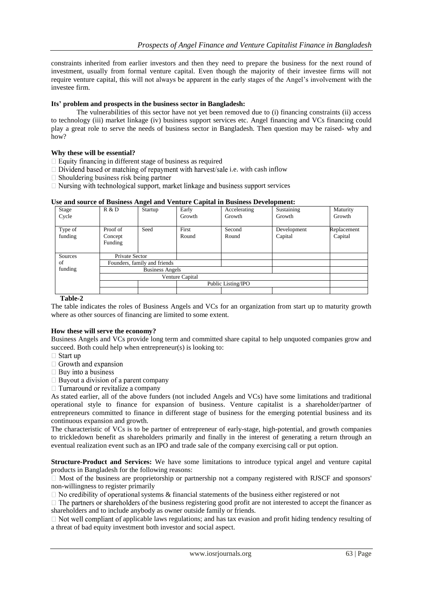constraints inherited from earlier investors and then they need to prepare the business for the next round of investment, usually from formal venture capital. Even though the majority of their investee firms will not require venture capital, this will not always be apparent in the early stages of the Angel"s involvement with the investee firm.

# **Its' problem and prospects in the business sector in Bangladesh:**

The vulnerabilities of this sector have not yet been removed due to (i) financing constraints (ii) access to technology (iii) market linkage (iv) business support services etc. Angel financing and VCs financing could play a great role to serve the needs of business sector in Bangladesh. Then question may be raised- why and how?

### **Why these will be essential?**

 $\Box$  Equity financing in different stage of business as required

 Private Sector Founders, family and friends

- $\Box$  Dividend based or matching of repayment with harvest/sale i.e. with cash inflow
- $\Box$  Shouldering business risk being partner
- $\Box$  Nursing with technological support, market linkage and business support services

| Stage              | R & D                          | Startup | Early          | Accelerating    | Sustaining             | Maturity               |
|--------------------|--------------------------------|---------|----------------|-----------------|------------------------|------------------------|
| Cycle              |                                |         | Growth         | Growth          | Growth                 | Growth                 |
| Type of<br>funding | Proof of<br>Concept<br>Funding | Seed    | First<br>Round | Second<br>Round | Development<br>Capital | Replacement<br>Capital |
|                    |                                |         |                |                 |                        |                        |

### **Use and source of Business Angel and Venture Capital in Business Development:**

Business Angels

Venture Capital

#### **Table-2**

Sources of funding

The table indicates the roles of Business Angels and VCs for an organization from start up to maturity growth where as other sources of financing are limited to some extent.

Public Listing/IPO

### **How these will serve the economy?**

Business Angels and VCs provide long term and committed share capital to help unquoted companies grow and succeed. Both could help when entrepreneur(s) is looking to:

 $\Box$  Start up

- $\Box$  Growth and expansion
- $\Box$  Buy into a business
- $\Box$  Buyout a division of a parent company
- $\Box$  Turnaround or revitalize a company

As stated earlier, all of the above funders (not included Angels and VCs) have some limitations and traditional operational style to finance for expansion of business. Venture capitalist is a shareholder/partner of entrepreneurs committed to finance in different stage of business for the emerging potential business and its continuous expansion and growth.

The characteristic of VCs is to be partner of entrepreneur of early-stage, high-potential, and growth companies to trickledown benefit as shareholders primarily and finally in the interest of generating a return through an eventual realization event such as an IPO and trade sale of the company exercising call or put option.

**Structure-Product and Services:** We have some limitations to introduce typical angel and venture capital products in Bangladesh for the following reasons:

 $\Box$  Most of the business are proprietorship or partnership not a company registered with RJSCF and sponsors' non-willingness to register primarily

 $\Box$  No credibility of operational systems & financial statements of the business either registered or not

 $\Box$  The partners or shareholders of the business registering good profit are not interested to accept the financer as shareholders and to include anybody as owner outside family or friends.

 $\Box$  Not well compliant of applicable laws regulations; and has tax evasion and profit hiding tendency resulting of a threat of bad equity investment both investor and social aspect.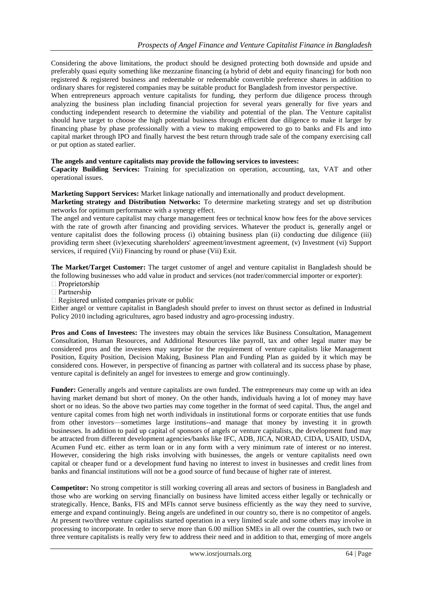Considering the above limitations, the product should be designed protecting both downside and upside and preferably quasi equity something like mezzanine financing (a hybrid of debt and equity financing) for both non registered & registered business and redeemable or redeemable convertible preference shares in addition to ordinary shares for registered companies may be suitable product for Bangladesh from investor perspective.

When entrepreneurs approach venture capitalists for funding, they perform due diligence process through analyzing the business plan including financial projection for several years generally for five years and conducting independent research to determine the viability and potential of the plan. The Venture capitalist should have target to choose the high potential business through efficient due diligence to make it larger by financing phase by phase professionally with a view to making empowered to go to banks and FIs and into capital market through IPO and finally harvest the best return through trade sale of the company exercising call or put option as stated earlier.

## **The angels and venture capitalists may provide the following services to investees:**

**Capacity Building Services:** Training for specialization on operation, accounting, tax, VAT and other operational issues.

**Marketing Support Services:** Market linkage nationally and internationally and product development.

**Marketing strategy and Distribution Networks:** To determine marketing strategy and set up distribution networks for optimum performance with a synergy effect.

The angel and venture capitalist may charge management fees or technical know how fees for the above services with the rate of growth after financing and providing services. Whatever the product is, generally angel or venture capitalist does the following process (i) obtaining business plan (ii) conducting due diligence (iii) providing term sheet (iv)executing shareholders' agreement/investment agreement, (v) Investment (vi) Support services, if required (Vii) Financing by round or phase (Vii) Exit.

**The Market/Target Customer:** The target customer of angel and venture capitalist in Bangladesh should be the following businesses who add value in product and services (not trader/commercial importer or exporter):

- $\Box$  Proprietorship
- $\Box$  Partnership

 $\Box$  Registered unlisted companies private or public

Either angel or venture capitalist in Bangladesh should prefer to invest on thrust sector as defined in Industrial Policy 2010 including agricultures, agro based industry and agro-processing industry.

**Pros and Cons of Investees:** The investees may obtain the services like Business Consultation, Management Consultation, Human Resources, and Additional Resources like payroll, tax and other legal matter may be considered pros and the investees may surprise for the requirement of venture capitalists like Management Position, Equity Position, Decision Making, Business Plan and Funding Plan as guided by it which may be considered cons. However, in perspective of financing as partner with collateral and its success phase by phase, venture capital is definitely an angel for investees to emerge and grow continuingly.

**Funder:** Generally angels and venture capitalists are own funded. The entrepreneurs may come up with an idea having market demand but short of money. On the other hands, individuals having a lot of money may have short or no ideas. So the above two parties may come together in the format of seed capital. Thus, the angel and venture capital comes from high net worth individuals in institutional forms or corporate entities that use funds from other investors—sometimes large institutions--and manage that money by investing it in growth businesses. In addition to paid up capital of sponsors of angels or venture capitalists, the development fund may be attracted from different development agencies/banks like IFC, ADB, JICA, NORAD, CIDA, USAID, USDA, Acumen Fund etc. either as term loan or in any form with a very minimum rate of interest or no interest. However, considering the high risks involving with businesses, the angels or venture capitalists need own capital or cheaper fund or a development fund having no interest to invest in businesses and credit lines from banks and financial institutions will not be a good source of fund because of higher rate of interest.

**Competitor:** No strong competitor is still working covering all areas and sectors of business in Bangladesh and those who are working on serving financially on business have limited access either legally or technically or strategically. Hence, Banks, FIS and MFIs cannot serve business efficiently as the way they need to survive, emerge and expand continuingly. Being angels are undefined in our country so, there is no competitor of angels. At present two/three venture capitalists started operation in a very limited scale and some others may involve in processing to incorporate. In order to serve more than 6.00 million SMEs in all over the countries, such two or three venture capitalists is really very few to address their need and in addition to that, emerging of more angels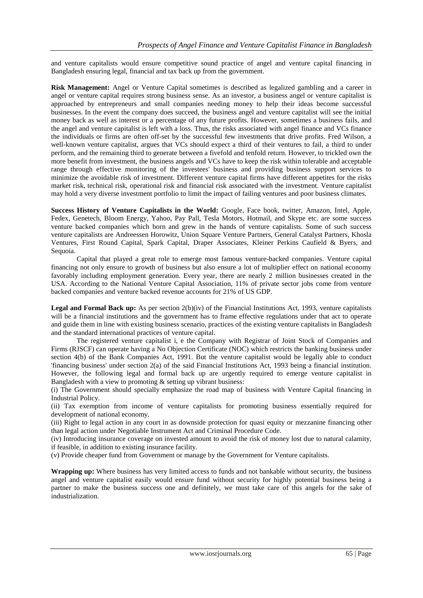and venture capitalists would ensure competitive sound practice of angel and venture capital financing in Bangladesh ensuring legal, financial and tax back up from the government.

**Risk Management:** Angel or Venture Capital sometimes is described as legalized gambling and a career in angel or venture capital requires strong business sense. As an investor, a business angel or venture capitalist is approached by entrepreneurs and small companies needing money to help their ideas become successful businesses. In the event the company does succeed, the business angel and venture capitalist will see the initial money back as well as interest or a percentage of any future profits. However, sometimes a business fails, and the angel and venture capitalist is left with a loss. Thus, the risks associated with angel finance and VCs finance the individuals or firms are often off-set by the successful few investments that drive profits. Fred Wilson, a well-known venture capitalist, argues that VCs should expect a third of their ventures to fail, a third to under perform, and the remaining third to generate between a fivefold and tenfold return. However, to trickled own the more benefit from investment, the business angels and VCs have to keep the risk within tolerable and acceptable range through effective monitoring of the investees' business and providing business support services to minimize the avoidable risk of investment. Different venture capital firms have different appetites for the risks market risk, technical risk, operational risk and financial risk associated with the investment. Venture capitalist may hold a very diverse investment portfolio to limit the impact of failing ventures and poor business climates.

**Success History of Venture Capitalists in the World:** Google, Face book, twitter, Amazon, Intel, Apple, Fedex, Genetech, Bloom Energy, Yahoo, Pay Pall, Tesla Motors, Hotmail, and Skype etc. are some success venture backed companies which born and grew in the hands of venture capitalists. Some of such success venture capitalists are Andreessen Horowitz, Union Square Venture Partners, General Catalyst Partners, Khosla Ventures, First Round Capital, Spark Capital, Draper Associates, Kleiner Perkins Caufield & Byers, and Sequoia.

Capital that played a great role to emerge most famous venture-backed companies. Venture capital financing not only ensure to growth of business but also ensure a lot of multiplier effect on national economy favorably including employment generation. Every year, there are nearly 2 million businesses created in the USA. According to the National Venture Capital Association, 11% of private sector jobs come from venture backed companies and venture backed revenue accounts for 21% of US GDP.

**Legal and Formal Back up:** As per section 2(b)(iv) of the Financial Institutions Act, 1993, venture capitalists will be a financial institutions and the government has to frame effective regulations under that act to operate and guide them in line with existing business scenario, practices of the existing venture capitalists in Bangladesh and the standard international practices of venture capital.

The registered venture capitalist i, e the Company with Registrar of Joint Stock of Companies and Firms (RJSCF) can operate having a No Objection Certificate (NOC) which restricts the banking business under section 4(b) of the Bank Companies Act, 1991. But the venture capitalist would be legally able to conduct 'financing business' under section 2(a) of the said Financial Institutions Act, 1993 being a financial institution. However, the following legal and formal back up are urgently required to emerge venture capitalist in Bangladesh with a view to promoting  $&$  setting up vibrant business:

(i) The Government should specially emphasize the road map of business with Venture Capital financing in Industrial Policy.

(ii) Tax exemption from income of venture capitalists for promoting business essentially required for development of national economy.

(iii) Right to legal action in any court in as downside protection for quasi equity or mezzanine financing other than legal action under Negotiable Instrument Act and Criminal Procedure Code.

(iv) Introducing insurance coverage on invested amount to avoid the risk of money lost due to natural calamity, if feasible, in addition to existing insurance facility.

(v) Provide cheaper fund from Government or manage by the Government for Venture capitalists.

**Wrapping up:** Where business has very limited access to funds and not bankable without security, the business angel and venture capitalist easily would ensure fund without security for highly potential business being a partner to make the business success one and definitely, we must take care of this angels for the sake of industrialization.